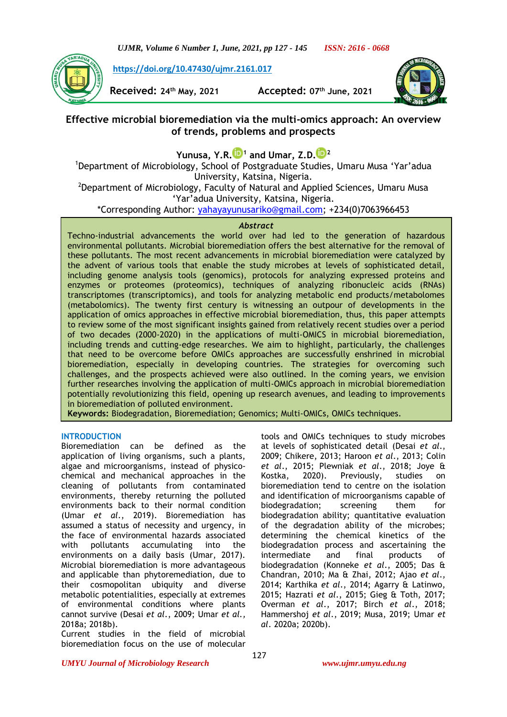*UJMR, Volume 6 Number 1, June, 2021, pp 127 - 145 ISSN: 2616 - 0668*

**[https://doi.org/10.47430/ujmr.2161.017](https://doi.org/10.47430/ujmr.2052.001)**

**Received: 24th May, 2021 Accepted: 07th June, 2021**



# **Effective microbial bioremediation via the multi-omics approach: An overview of trends, problems and prospects**

**Yunusa, Y.R[.](https://orcid.org/0000-0001-9209-7468) <sup>1</sup> and Umar, Z.D[.](https://orcid.org/0000-0002-4638-4041) <sup>2</sup>**

<sup>1</sup>Department of Microbiology, School of Postgraduate Studies, Umaru Musa 'Yar'adua University, Katsina, Nigeria.

<sup>2</sup>Department of Microbiology, Faculty of Natural and Applied Sciences, Umaru Musa 'Yar'adua University, Katsina, Nigeria.

\*Corresponding Author: [yahayayunusariko@gmail.com;](mailto:yahayayunusariko@gmail.com) +234(0)7063966453

### *Abstract*

Techno-industrial advancements the world over had led to the generation of hazardous environmental pollutants. Microbial bioremediation offers the best alternative for the removal of these pollutants. The most recent advancements in microbial bioremediation were catalyzed by the advent of various tools that enable the study microbes at levels of sophisticated detail, including genome analysis tools (genomics), protocols for analyzing expressed proteins and enzymes or proteomes (proteomics), techniques of analyzing ribonucleic acids (RNAs) transcriptomes (transcriptomics), and tools for analyzing metabolic end products/metabolomes (metabolomics). The twenty first century is witnessing an outpour of developments in the application of omics approaches in effective microbial bioremediation, thus, this paper attempts to review some of the most significant insights gained from relatively recent studies over a period of two decades (2000-2020) in the applications of multi-OMICS in microbial bioremediation, including trends and cutting-edge researches. We aim to highlight, particularly, the challenges that need to be overcome before OMICs approaches are successfully enshrined in microbial bioremediation, especially in developing countries. The strategies for overcoming such challenges, and the prospects achieved were also outlined. In the coming years, we envision further researches involving the application of multi-OMICs approach in microbial bioremediation potentially revolutionizing this field, opening up research avenues, and leading to improvements in bioremediation of polluted environment.

**Keywords:** Biodegradation, Bioremediation; Genomics; Multi-OMICs, OMICs techniques.

## **INTRODUCTION**

Bioremediation can be defined as the application of living organisms, such a plants, algae and microorganisms, instead of physicochemical and mechanical approaches in the cleaning of pollutants from contaminated environments, thereby returning the polluted environments back to their normal condition (Umar *et al*., 2019). Bioremediation has assumed a status of necessity and urgency, in the face of environmental hazards associated with pollutants accumulating into the environments on a daily basis (Umar, 2017). Microbial bioremediation is more advantageous and applicable than phytoremediation, due to their cosmopolitan ubiquity and diverse metabolic potentialities, especially at extremes of environmental conditions where plants cannot survive (Desai *et al*., 2009; Umar *et al.,*  2018a; 2018b).

Current studies in the field of microbial bioremediation focus on the use of molecular tools and OMICs techniques to study microbes at levels of sophisticated detail (Desai *et al*., 2009; Chikere, 2013; Haroon *et al*., 2013; Colin *et al*., 2015; Plewniak *et al*., 2018; Joye & Kostka, 2020). Previously, studies on bioremediation tend to centre on the isolation and identification of microorganisms capable of biodegradation; screening them for biodegradation ability; quantitative evaluation of the degradation ability of the microbes; determining the chemical kinetics of the biodegradation process and ascertaining the intermediate and final products of biodegradation (Konneke *et al*., 2005; Das & Chandran, 2010; Ma & Zhai, 2012; Ajao *et al*., 2014; Karthika *et al*., 2014; Agarry & Latinwo, 2015; Hazrati *et al*., 2015; Gieg & Toth, 2017; Overman *et al*., 2017; Birch *et al*., 2018; Hammershoj *et al*., 2019; Musa, 2019; Umar *et al*. 2020a; 2020b).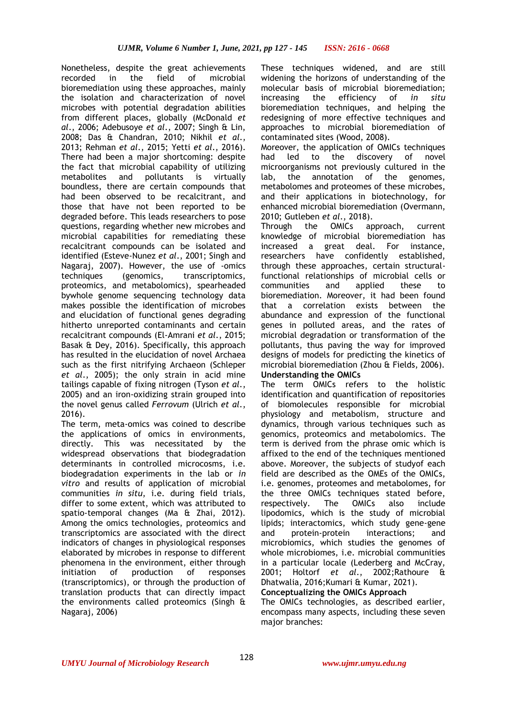Nonetheless, despite the great achievements recorded in the field of microbial bioremediation using these approaches, mainly the isolation and characterization of novel microbes with potential degradation abilities from different places, globally (McDonald *et al*., 2006; Adebusoye *et al*., 2007; Singh & Lin, 2008; Das & Chandran, 2010; Nikhil *et al*., 2013; Rehman *et al*., 2015; Yetti *et al*., 2016). There had been a major shortcoming: despite the fact that microbial capability of utilizing metabolites and pollutants is virtually boundless, there are certain compounds that had been observed to be recalcitrant, and those that have not been reported to be degraded before. This leads researchers to pose questions, regarding whether new microbes and microbial capabilities for remediating these recalcitrant compounds can be isolated and identified (Esteve-Nunez *et al*., 2001; Singh and Nagaraj, 2007). However, the use of -omics techniques (genomics, transcriptomics, proteomics, and metabolomics), spearheaded bywhole genome sequencing technology data makes possible the identification of microbes and elucidation of functional genes degrading hitherto unreported contaminants and certain recalcitrant compounds (El-Amrani *et al*., 2015; Basak & Dey, 2016). Specifically, this approach has resulted in the elucidation of novel Archaea such as the first nitrifying Archaeon (Schleper *et al*., 2005); the only strain in acid mine tailings capable of fixing nitrogen (Tyson *et al*., 2005) and an iron-oxidizing strain grouped into the novel genus called *Ferrovum* (Ulrich *et al*., 2016).

The term, meta-omics was coined to describe the applications of omics in environments, directly. This was necessitated by the widespread observations that biodegradation determinants in controlled microcosms, i.e. biodegradation experiments in the lab or *in vitro* and results of application of microbial communities *in situ*, i.e. during field trials, differ to some extent, which was attributed to spatio-temporal changes (Ma & Zhai, 2012). Among the omics technologies, proteomics and transcriptomics are associated with the direct indicators of changes in physiological responses elaborated by microbes in response to different phenomena in the environment, either through initiation of production of responses (transcriptomics), or through the production of translation products that can directly impact the environments called proteomics (Singh & Nagaraj, 2006)

These techniques widened, and are still widening the horizons of understanding of the molecular basis of microbial bioremediation; increasing the efficiency of *in situ* bioremediation techniques, and helping the redesigning of more effective techniques and approaches to microbial bioremediation of contaminated sites (Wood, 2008).

Moreover, the application of OMICs techniques had led to the discovery of novel microorganisms not previously cultured in the lab, the annotation of the genomes, metabolomes and proteomes of these microbes, and their applications in biotechnology, for enhanced microbial bioremediation (Overmann, 2010; Gutleben *et al*., 2018).

Through the OMICs approach, current knowledge of microbial bioremediation has increased a great deal. For instance, researchers have confidently established, through these approaches, certain structuralfunctional relationships of microbial cells or communities and applied these to bioremediation. Moreover, it had been found that a correlation exists between the abundance and expression of the functional genes in polluted areas, and the rates of microbial degradation or transformation of the pollutants, thus paving the way for improved designs of models for predicting the kinetics of microbial bioremediation (Zhou & Fields, 2006). **Understanding the OMICs**

The term OMICs refers to the holistic identification and quantification of repositories of biomolecules responsible for microbial physiology and metabolism, structure and dynamics, through various techniques such as genomics, proteomics and metabolomics. The term is derived from the phrase omic which is affixed to the end of the techniques mentioned above. Moreover, the subjects of studyof each field are described as the OMEs of the OMICs, i.e. genomes, proteomes and metabolomes, for the three OMICs techniques stated before, respectively. The OMICs also include lipodomics, which is the study of microbial lipids; interactomics, which study gene-gene and protein-protein interactions; and microbiomics, which studies the genomes of whole microbiomes, i.e. microbial communities in a particular locale (Lederberg and McCray, 2001; Holtorf *et al*., 2002;Rathoure & Dhatwalia, 2016;Kumari & Kumar, 2021).

**Conceptualizing the OMICs Approach**

The OMICs technologies, as described earlier, encompass many aspects, including these seven major branches: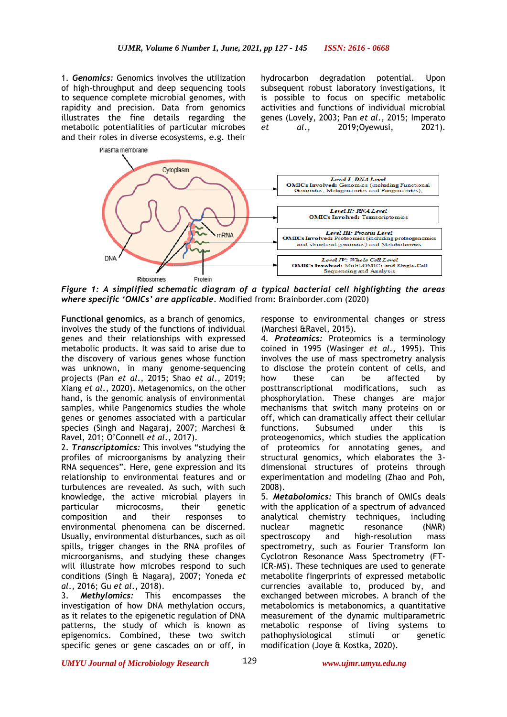1. *Genomics:* Genomics involves the utilization of high-throughput and deep sequencing tools to sequence complete microbial genomes, with rapidity and precision. Data from genomics illustrates the fine details regarding the metabolic potentialities of particular microbes and their roles in diverse ecosystems, e.g. their

Plasma membrane

hydrocarbon degradation potential. Upon subsequent robust laboratory investigations, it is possible to focus on specific metabolic activities and functions of individual microbial genes (Lovely, 2003; Pan *et al*., 2015; Imperato *et al*., 2019;Oyewusi, 2021).



*Figure 1: A simplified schematic diagram of a typical bacterial cell highlighting the areas where specific 'OMICs' are applicable.* Modified from: Brainborder.com (2020)

**Functional genomics**, as a branch of genomics, involves the study of the functions of individual genes and their relationships with expressed metabolic products. It was said to arise due to the discovery of various genes whose function was unknown, in many genome-sequencing projects (Pan *et al*., 2015; Shao *et al*., 2019; Xiang *et al*., 2020). Metagenomics, on the other hand, is the genomic analysis of environmental samples, while Pangenomics studies the whole genes or genomes associated with a particular species (Singh and Nagaraj, 2007; Marchesi & Ravel, 201; O'Connell *et al*., 2017).

2. *Transcriptomics:* This involves "studying the profiles of microorganisms by analyzing their RNA sequences". Here, gene expression and its relationship to environmental features and or turbulences are revealed. As such, with such knowledge, the active microbial players in particular microcosms, their genetic composition and their responses to environmental phenomena can be discerned. Usually, environmental disturbances, such as oil spills, trigger changes in the RNA profiles of microorganisms, and studying these changes will illustrate how microbes respond to such conditions (Singh & Nagaraj, 2007; Yoneda *et al*., 2016; Gu *et al*., 2018).

3. *Methylomics:* This encompasses the investigation of how DNA methylation occurs, as it relates to the epigenetic regulation of DNA patterns, the study of which is known as epigenomics. Combined, these two switch specific genes or gene cascades on or off, in response to environmental changes or stress (Marchesi &Ravel, 2015).

4. *Proteomics:* Proteomics is a terminology coined in 1995 (Wasinger *et al*., 1995). This involves the use of mass spectrometry analysis to disclose the protein content of cells, and how these can be affected by posttranscriptional modifications, such as phosphorylation. These changes are major mechanisms that switch many proteins on or off, which can dramatically affect their cellular functions. Subsumed under this is proteogenomics, which studies the application of proteomics for annotating genes, and structural genomics, which elaborates the 3 dimensional structures of proteins through experimentation and modeling (Zhao and Poh, 2008).

5. *Metabolomics:* This branch of OMICs deals with the application of a spectrum of advanced analytical chemistry techniques, including nuclear magnetic resonance (NMR) spectroscopy and high-resolution mass spectrometry, such as Fourier Transform Ion Cyclotron Resonance Mass Spectrometry (FT-ICR-MS). These techniques are used to generate metabolite fingerprints of expressed metabolic currencies available to, produced by, and exchanged between microbes. A branch of the metabolomics is metabonomics, a quantitative measurement of the dynamic multiparametric metabolic response of living systems to pathophysiological stimuli or genetic modification (Joye & Kostka, 2020).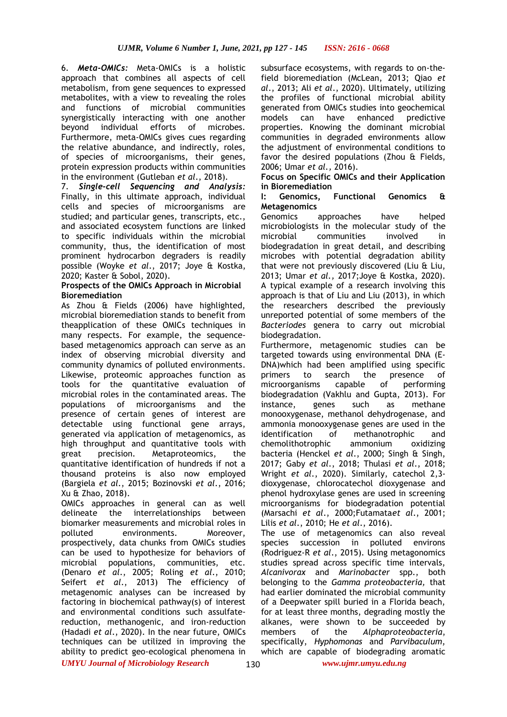6. *Meta-OMICs:* Meta-OMICs is a holistic approach that combines all aspects of cell metabolism, from gene sequences to expressed metabolites, with a view to revealing the roles and functions of microbial communities synergistically interacting with one another<br>bevond individual efforts of microbes. beyond individual efforts of microbes. Furthermore, meta-OMICs gives cues regarding the relative abundance, and indirectly, roles, of species of microorganisms, their genes, protein expression products within communities in the environment (Gutleban *et al*., 2018).

7. *Single-cell Sequencing and Analysis:* Finally, in this ultimate approach, individual cells and species of microorganisms are studied; and particular genes, transcripts, etc., and associated ecosystem functions are linked to specific individuals within the microbial community, thus, the identification of most prominent hydrocarbon degraders is readily possible (Woyke *et al*., 2017; Joye & Kostka, 2020; Kaster & Sobol, 2020).

#### **Prospects of the OMICs Approach in Microbial Bioremediation**

As Zhou & Fields (2006) have highlighted, microbial bioremediation stands to benefit from theapplication of these OMICs techniques in many respects. For example, the sequencebased metagenomics approach can serve as an index of observing microbial diversity and community dynamics of polluted environments. Likewise, proteomic approaches function as tools for the quantitative evaluation of microbial roles in the contaminated areas. The populations of microorganisms and the presence of certain genes of interest are detectable using functional gene arrays, generated via application of metagenomics, as high throughput and quantitative tools with great precision. Metaproteomics, the quantitative identification of hundreds if not a thousand proteins is also now employed (Bargiela *et al*., 2015; Bozinovski *et al*., 2016; Xu & Zhao, 2018).

OMICs approaches in general can as well delineate the interrelationships between biomarker measurements and microbial roles in polluted environments. Moreover, prospectively, data chunks from OMICs studies can be used to hypothesize for behaviors of microbial populations, communities, etc. (Denaro *et al*., 2005; Roling *et al*., 2010; Seifert *et al*., 2013) The efficiency of metagenomic analyses can be increased by factoring in biochemical pathway(s) of interest and environmental conditions such assulfatereduction, methanogenic, and iron-reduction (Hadadi *et al*., 2020). In the near future, OMICs techniques can be utilized in improving the ability to predict geo-ecological phenomena in subsurface ecosystems, with regards to on-thefield bioremediation (McLean, 2013; Qiao *et al*., 2013; Ali *et al*., 2020). Ultimately, utilizing the profiles of functional microbial ability generated from OMICs studies into geochemical models can have enhanced predictive properties. Knowing the dominant microbial communities in degraded environments allow the adjustment of environmental conditions to favor the desired populations (Zhou & Fields, 2006; Umar *et al.,* 2016).

#### **Focus on Specific OMICs and their Application in Bioremediation**

### **I: Genomics, Functional Genomics & Metagenomics**

Genomics approaches have helped microbiologists in the molecular study of the microbial communities involved in biodegradation in great detail, and describing microbes with potential degradation ability that were not previously discovered (Liu & Liu, 2013; Umar *et al.,* 2017;Joye & Kostka, 2020). A typical example of a research involving this approach is that of Liu and Liu (2013), in which the researchers described the previously unreported potential of some members of the *Bacteriodes* genera to carry out microbial biodegradation.

Furthermore, metagenomic studies can be targeted towards using environmental DNA (E-DNA)which had been amplified using specific primers to search the presence of microorganisms capable of performing biodegradation (Vakhlu and Gupta, 2013). For instance, genes such as methane monooxygenase, methanol dehydrogenase, and ammonia monooxygenase genes are used in the identification of methanotrophic and chemolithotrophic ammonium oxidizing bacteria (Henckel *et al*., 2000; Singh & Singh, 2017; Gaby *et al*., 2018; Thulasi *et al*., 2018; Wright *et al*., 2020). Similarly, catechol 2,3 dioxygenase, chlorocatechol dioxygenase and phenol hydroxylase genes are used in screening microorganisms for biodegradation potential (Marsachi *et al*., 2000;Futamata*et al*., 2001; Lilis *et al*., 2010; He *et al*., 2016).

The use of metagenomics can also reveal species succession in polluted environs (Rodriguez-R *et al*., 2015). Using metagonomics studies spread across specific time intervals, *Alcanivorax* and *Marinobacter* spp., both belonging to the *Gamma proteobacteria,* that had earlier dominated the microbial community of a Deepwater spill buried in a Florida beach, for at least three months, degrading mostly the alkanes, were shown to be succeeded by members of the *Alphaproteobacteria*, specifically, *Hyphomonas* and *Parvibaculum*, which are capable of biodegrading aromatic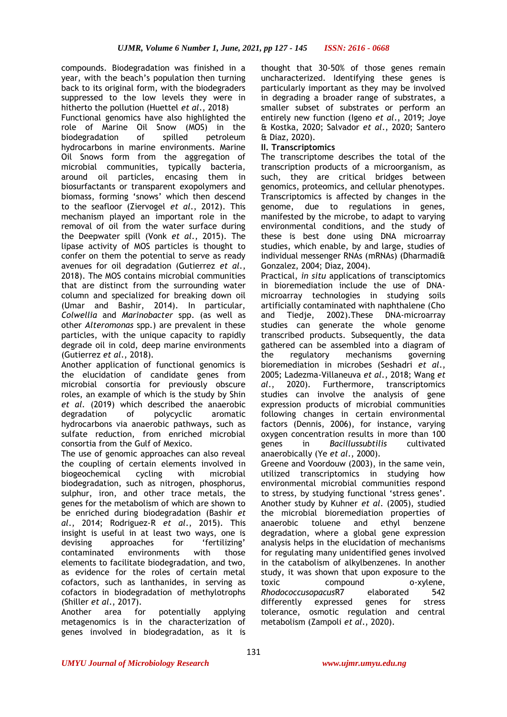compounds. Biodegradation was finished in a year, with the beach's population then turning back to its original form, with the biodegraders suppressed to the low levels they were in hitherto the pollution (Huettel *et al*., 2018) Functional genomics have also highlighted the role of Marine Oil Snow (MOS) in the biodegradation of spilled petroleum hydrocarbons in marine environments. Marine Oil Snows form from the aggregation of microbial communities, typically bacteria, around oil particles, encasing them in biosurfactants or transparent exopolymers and biomass, forming 'snows' which then descend to the seafloor (Ziervogel *et al*., 2012). This mechanism played an important role in the removal of oil from the water surface during the Deepwater spill (Vonk *et al*., 2015). The lipase activity of MOS particles is thought to confer on them the potential to serve as ready avenues for oil degradation (Gutierrez *et al*., 2018). The MOS contains microbial communities that are distinct from the surrounding water column and specialized for breaking down oil (Umar and Bashir, 2014). In particular, *Colwellia* and *Marinobacter* spp. (as well as other *Alteromonas* spp.) are prevalent in these particles, with the unique capacity to rapidly degrade oil in cold, deep marine environments (Gutierrez *et al*., 2018).

Another application of functional genomics is the elucidation of candidate genes from microbial consortia for previously obscure roles, an example of which is the study by Shin *et al.* (2019) which described the anaerobic degradation of polycyclic aromatic hydrocarbons via anaerobic pathways, such as sulfate reduction, from enriched microbial consortia from the Gulf of Mexico.

The use of genomic approaches can also reveal the coupling of certain elements involved in biogeochemical cycling with microbial biodegradation, such as nitrogen, phosphorus, sulphur, iron, and other trace metals, the genes for the metabolism of which are shown to be enriched during biodegradation (Bashir *et al*., 2014; Rodriguez-R *et al*., 2015). This insight is useful in at least two ways, one is devising approaches for 'fertilizing' contaminated environments with those elements to facilitate biodegradation, and two, as evidence for the roles of certain metal cofactors, such as lanthanides, in serving as cofactors in biodegradation of methylotrophs (Shiller *et al*., 2017).

Another area for potentially applying metagenomics is in the characterization of genes involved in biodegradation, as it is

thought that 30-50% of those genes remain uncharacterized. Identifying these genes is particularly important as they may be involved in degrading a broader range of substrates, a smaller subset of substrates or perform an entirely new function (Igeno *et al*., 2019; Joye & Kostka, 2020; Salvador *et al*., 2020; Santero & Diaz, 2020).

## **II. Transcriptomics**

The transcriptome describes the total of the transcription products of a microorganism, as such, they are critical bridges between genomics, proteomics, and cellular phenotypes. Transcriptomics is affected by changes in the genome, due to regulations in genes, manifested by the microbe, to adapt to varying environmental conditions, and the study of these is best done using DNA microarray studies, which enable, by and large, studies of individual messenger RNAs (mRNAs) (Dharmadi& Gonzalez, 2004; Diaz, 2004).

Practical, *in situ* applications of transciptomics in bioremediation include the use of DNAmicroarray technologies in studying soils artificially contaminated with naphthalene (Cho and Tiedje, 2002).These DNA-microarray studies can generate the whole genome transcribed products. Subsequently, the data gathered can be assembled into a diagram of the regulatory mechanisms governing bioremediation in microbes (Seshadri *et al*., 2005; Ladezma-Villaneuva *et al*., 2018; Wang *et al*., 2020). Furthermore, transcriptomics studies can involve the analysis of gene expression products of microbial communities following changes in certain environmental factors (Dennis, 2006), for instance, varying oxygen concentration results in more than 100 genes in *Bacillussubtilis* cultivated anaerobically (Ye *et al*., 2000).

Greene and Voordouw (2003), in the same vein, utilized transcriptomics in studying how environmental microbial communities respond to stress, by studying functional 'stress genes'. Another study by Kuhner *et al*. (2005), studied the microbial bioremediation properties of anaerobic toluene and ethyl benzene degradation, where a global gene expression analysis helps in the elucidation of mechanisms for regulating many unidentified genes involved in the catabolism of alkylbenzenes. In another study, it was shown that upon exposure to the toxic compound o-xylene, *Rhodococcusopacus*R7 elaborated 542 differently expressed genes for stress tolerance, osmotic regulation and central metabolism (Zampoli *et al*., 2020).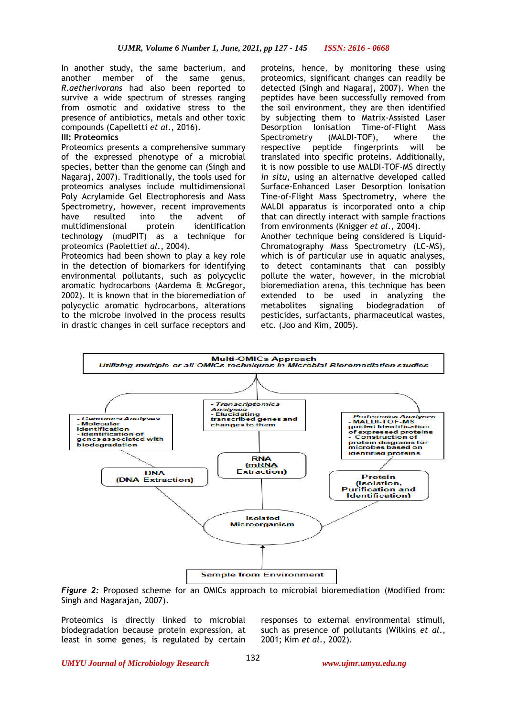In another study, the same bacterium, and another member of the same genus, *R.aetherivorans* had also been reported to survive a wide spectrum of stresses ranging from osmotic and oxidative stress to the presence of antibiotics, metals and other toxic compounds (Capelletti *et al*., 2016).

#### **III: Proteomics**

Proteomics presents a comprehensive summary of the expressed phenotype of a microbial species, better than the genome can (Singh and Nagaraj, 2007). Traditionally, the tools used for proteomics analyses include multidimensional Poly Acrylamide Gel Electrophoresis and Mass Spectrometry, however, recent improvements have resulted into the advent of multidimensional protein identification technology (mudPIT) as a technique for proteomics (Paoletti*et al*., 2004).

Proteomics had been shown to play a key role in the detection of biomarkers for identifying environmental pollutants, such as polycyclic aromatic hydrocarbons (Aardema & McGregor, 2002). It is known that in the bioremediation of polycyclic aromatic hydrocarbons, alterations to the microbe involved in the process results in drastic changes in cell surface receptors and

proteins, hence, by monitoring these using proteomics, significant changes can readily be detected (Singh and Nagaraj, 2007). When the peptides have been successfully removed from the soil environment, they are then identified by subjecting them to Matrix-Assisted Laser Desorption Ionisation Time-of-Flight Mass Spectrometry (MALDI-TOF), where the respective peptide fingerprints will be translated into specific proteins. Additionally, it is now possible to use MALDI-TOF-MS directly *in situ*, using an alternative developed called Surface-Enhanced Laser Desorption Ionisation Tine-of-Flight Mass Spectrometry, where the MALDI apparatus is incorporated onto a chip that can directly interact with sample fractions from environments (Knigger *et al*., 2004).

Another technique being considered is Liquid-Chromatography Mass Spectrometry (LC-MS), which is of particular use in aquatic analyses, to detect contaminants that can possibly pollute the water, however, in the microbial bioremediation arena, this technique has been extended to be used in analyzing the metabolites signaling biodegradation of pesticides, surfactants, pharmaceutical wastes, etc. (Joo and Kim, 2005).



*Figure 2:* Proposed scheme for an OMICs approach to microbial bioremediation (Modified from: Singh and Nagarajan, 2007).

Proteomics is directly linked to microbial biodegradation because protein expression, at least in some genes, is regulated by certain responses to external environmental stimuli, such as presence of pollutants (Wilkins *et al*., 2001; Kim *et al*., 2002).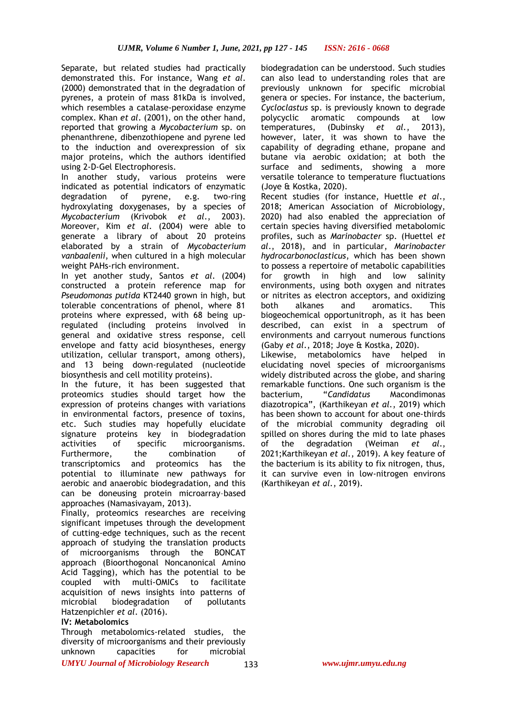Separate, but related studies had practically demonstrated this. For instance, Wang *et al*. (2000) demonstrated that in the degradation of pyrenes, a protein of mass 81kDa is involved, which resembles a catalase-peroxidase enzyme complex. Khan *et al*. (2001), on the other hand, reported that growing a *Mycobacterium* sp. on phenanthrene, dibenzothiopene and pyrene led to the induction and overexpression of six major proteins, which the authors identified using 2-D-Gel Electrophoresis.

In another study, various proteins were indicated as potential indicators of enzymatic degradation of pyrene, e.g. two-ring hydroxylating doxygenases, by a species of *Mycobacterium* (Krivobok *et al*., 2003). Moreover, Kim *et al*. (2004) were able to generate a library of about 20 proteins elaborated by a strain of *Mycobacterium vanbaalenii*, when cultured in a high molecular weight PAHs-rich environment.

In yet another study, Santos *et al*. (2004) constructed a protein reference map for *Pseudomonas putida* KT2440 grown in high, but tolerable concentrations of phenol, where 81 proteins where expressed, with 68 being upregulated (including proteins involved in general and oxidative stress response, cell envelope and fatty acid biosyntheses, energy utilization, cellular transport, among others), and 13 being down-regulated (nucleotide biosynthesis and cell motility proteins).

In the future, it has been suggested that proteomics studies should target how the expression of proteins changes with variations in environmental factors, presence of toxins, etc. Such studies may hopefully elucidate signature proteins key in biodegradation activities of specific microorganisms. Furthermore, the combination of transcriptomics and proteomics has the potential to illuminate new pathways for aerobic and anaerobic biodegradation, and this can be doneusing protein microarray–based approaches (Namasivayam, 2013).

Finally, proteomics researches are receiving significant impetuses through the development of cutting-edge techniques, such as the recent approach of studying the translation products of microorganisms through the BONCAT approach (Bioorthogonal Noncanonical Amino Acid Tagging), which has the potential to be coupled with multi-OMICs to facilitate acquisition of news insights into patterns of microbial biodegradation of pollutants Hatzenpichler *et al*. (2016).

## **IV: Metabolomics**

*UMYU Journal of Microbiology Research www.ujmr.umyu.edu.ng* Through metabolomics-related studies, the diversity of microorganisms and their previously unknown capacities for microbial

biodegradation can be understood. Such studies can also lead to understanding roles that are previously unknown for specific microbial genera or species. For instance, the bacterium, *Cycloclastus* sp. is previously known to degrade polycyclic aromatic compounds at low temperatures, (Dubinsky *et al.*, 2013), however, later, it was shown to have the capability of degrading ethane, propane and butane via aerobic oxidation; at both the surface and sediments, showing a more versatile tolerance to temperature fluctuations (Joye & Kostka, 2020).

Recent studies (for instance, Huettle *et al*., 2018; American Association of Microbiology, 2020) had also enabled the appreciation of certain species having diversified metabolomic profiles, such as *Marinobacter* sp. (Huettel *et al*., 2018), and in particular, *Marinobacter hydrocarbonoclasticus*, which has been shown to possess a repertoire of metabolic capabilities for growth in high and low salinity environments, using both oxygen and nitrates or nitrites as electron acceptors, and oxidizing both alkanes and aromatics. This biogeochemical opportunitroph, as it has been described, can exist in a spectrum of environments and carryout numerous functions (Gaby *et al*., 2018; Joye & Kostka, 2020).

Likewise, metabolomics have helped in elucidating novel species of microorganisms widely distributed across the globe, and sharing remarkable functions. One such organism is the bacterium, "*Candidatus* Macondimonas diazotropica", (Karthikeyan *et al.*, 2019) which has been shown to account for about one-thirds of the microbial community degrading oil spilled on shores during the mid to late phases of the degradation (Weiman *et al*., 2021;Karthikeyan *et al.*, 2019). A key feature of the bacterium is its ability to fix nitrogen, thus, it can survive even in low-nitrogen environs (Karthikeyan *et al.*, 2019).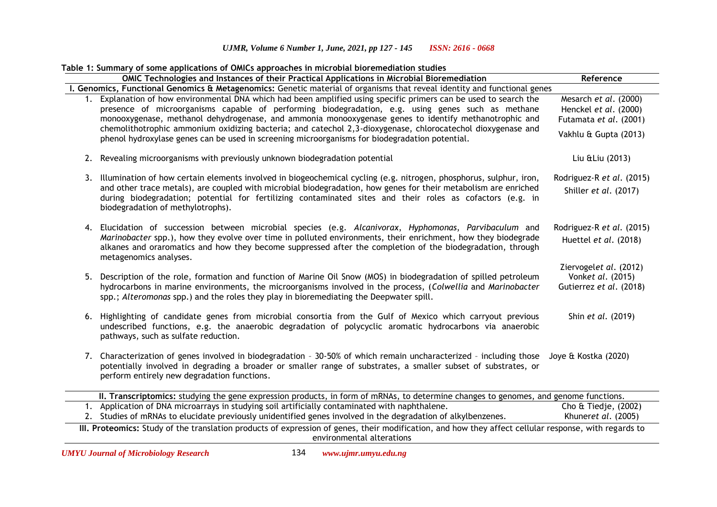# *UJMR, Volume 6 Number 1, June, 2021, pp 127 - 145 ISSN: 2616 - 0668*

|                                                                                                                                                                                    | Table 1: Summary of some applications of OMICs approaches in microbial bioremediation studies                                                                                                                                                                                                                                                                                                                                                                                                                                                    |                                                                          |  |  |  |
|------------------------------------------------------------------------------------------------------------------------------------------------------------------------------------|--------------------------------------------------------------------------------------------------------------------------------------------------------------------------------------------------------------------------------------------------------------------------------------------------------------------------------------------------------------------------------------------------------------------------------------------------------------------------------------------------------------------------------------------------|--------------------------------------------------------------------------|--|--|--|
|                                                                                                                                                                                    | OMIC Technologies and Instances of their Practical Applications in Microbial Bioremediation                                                                                                                                                                                                                                                                                                                                                                                                                                                      | Reference                                                                |  |  |  |
|                                                                                                                                                                                    | I. Genomics, Functional Genomics & Metagenomics: Genetic material of organisms that reveal identity and functional genes                                                                                                                                                                                                                                                                                                                                                                                                                         |                                                                          |  |  |  |
|                                                                                                                                                                                    | 1. Explanation of how environmental DNA which had been amplified using specific primers can be used to search the<br>presence of microorganisms capable of performing biodegradation, e.g. using genes such as methane<br>monooxygenase, methanol dehydrogenase, and ammonia monooxygenase genes to identify methanotrophic and<br>chemolithotrophic ammonium oxidizing bacteria; and catechol 2,3-dioxygenase, chlorocatechol dioxygenase and<br>phenol hydroxylase genes can be used in screening microorganisms for biodegradation potential. | Mesarch et al. (2000)<br>Henckel et al. (2000)<br>Futamata et al. (2001) |  |  |  |
|                                                                                                                                                                                    |                                                                                                                                                                                                                                                                                                                                                                                                                                                                                                                                                  | Vakhlu & Gupta (2013)                                                    |  |  |  |
|                                                                                                                                                                                    | 2. Revealing microorganisms with previously unknown biodegradation potential                                                                                                                                                                                                                                                                                                                                                                                                                                                                     | Liu & Liu (2013)                                                         |  |  |  |
|                                                                                                                                                                                    | 3. Illumination of how certain elements involved in biogeochemical cycling (e.g. nitrogen, phosphorus, sulphur, iron,<br>and other trace metals), are coupled with microbial biodegradation, how genes for their metabolism are enriched<br>during biodegradation; potential for fertilizing contaminated sites and their roles as cofactors (e.g. in<br>biodegradation of methylotrophs).                                                                                                                                                       | Rodriguez-R et al. (2015)<br>Shiller et al. (2017)                       |  |  |  |
|                                                                                                                                                                                    | 4. Elucidation of succession between microbial species (e.g. Alcanivorax, Hyphomonas, Parvibaculum and<br>Marinobacter spp.), how they evolve over time in polluted environments, their enrichment, how they biodegrade<br>alkanes and oraromatics and how they become suppressed after the completion of the biodegradation, through<br>metagenomics analyses.                                                                                                                                                                                  | Rodriguez-R et al. (2015)<br>Huettel et al. (2018)                       |  |  |  |
|                                                                                                                                                                                    | 5. Description of the role, formation and function of Marine Oil Snow (MOS) in biodegradation of spilled petroleum<br>hydrocarbons in marine environments, the microorganisms involved in the process, (Colwellia and Marinobacter<br>spp.; Alteromonas spp.) and the roles they play in bioremediating the Deepwater spill.                                                                                                                                                                                                                     | Ziervogelet al. (2012)<br>Vonket al. (2015)<br>Gutierrez et al. (2018)   |  |  |  |
|                                                                                                                                                                                    | 6. Highlighting of candidate genes from microbial consortia from the Gulf of Mexico which carryout previous<br>undescribed functions, e.g. the anaerobic degradation of polycyclic aromatic hydrocarbons via anaerobic<br>pathways, such as sulfate reduction.                                                                                                                                                                                                                                                                                   | Shin et al. (2019)                                                       |  |  |  |
|                                                                                                                                                                                    | 7. Characterization of genes involved in biodegradation - 30-50% of which remain uncharacterized - including those<br>potentially involved in degrading a broader or smaller range of substrates, a smaller subset of substrates, or<br>perform entirely new degradation functions.                                                                                                                                                                                                                                                              | Joye & Kostka (2020)                                                     |  |  |  |
|                                                                                                                                                                                    | II. Transcriptomics: studying the gene expression products, in form of mRNAs, to determine changes to genomes, and genome functions.                                                                                                                                                                                                                                                                                                                                                                                                             |                                                                          |  |  |  |
|                                                                                                                                                                                    | 1. Application of DNA microarrays in studying soil artificially contaminated with naphthalene.<br>2. Studies of mRNAs to elucidate previously unidentified genes involved in the degradation of alkylbenzenes.                                                                                                                                                                                                                                                                                                                                   | Cho & Tiedje, (2002)<br>Khuneret al. (2005)                              |  |  |  |
| III. Proteomics: Study of the translation products of expression of genes, their modification, and how they affect cellular response, with regards to<br>environmental alterations |                                                                                                                                                                                                                                                                                                                                                                                                                                                                                                                                                  |                                                                          |  |  |  |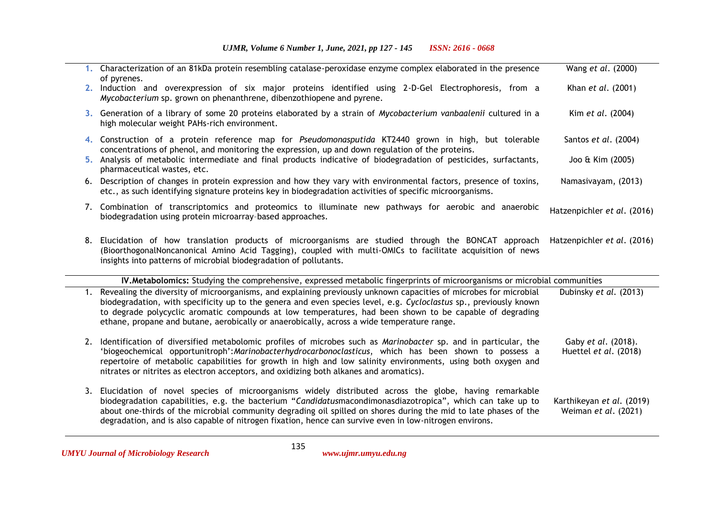|    | 1. Characterization of an 81kDa protein resembling catalase-peroxidase enzyme complex elaborated in the presence                                                                                                                                                                                                                                                                                                                                      | Wang et al. (2000)                                |
|----|-------------------------------------------------------------------------------------------------------------------------------------------------------------------------------------------------------------------------------------------------------------------------------------------------------------------------------------------------------------------------------------------------------------------------------------------------------|---------------------------------------------------|
|    | of pyrenes.<br>2. Induction and overexpression of six major proteins identified using 2-D-Gel Electrophoresis, from a<br>Mycobacterium sp. grown on phenanthrene, dibenzothiopene and pyrene.                                                                                                                                                                                                                                                         | Khan et al. (2001)                                |
|    | 3. Generation of a library of some 20 proteins elaborated by a strain of Mycobacterium vanbaalenii cultured in a<br>high molecular weight PAHs-rich environment.                                                                                                                                                                                                                                                                                      | Kim et al. (2004)                                 |
|    | 4. Construction of a protein reference map for <i>Pseudomonasputida</i> KT2440 grown in high, but tolerable<br>concentrations of phenol, and monitoring the expression, up and down regulation of the proteins.                                                                                                                                                                                                                                       | Santos et al. (2004)                              |
|    | 5. Analysis of metabolic intermediate and final products indicative of biodegradation of pesticides, surfactants,<br>pharmaceutical wastes, etc.                                                                                                                                                                                                                                                                                                      | Joo & Kim (2005)                                  |
|    | 6. Description of changes in protein expression and how they vary with environmental factors, presence of toxins,<br>etc., as such identifying signature proteins key in biodegradation activities of specific microorganisms.                                                                                                                                                                                                                        | Namasivayam, (2013)                               |
|    | 7. Combination of transcriptomics and proteomics to illuminate new pathways for aerobic and anaerobic<br>biodegradation using protein microarray-based approaches.                                                                                                                                                                                                                                                                                    | Hatzenpichler et al. (2016)                       |
|    | 8. Elucidation of how translation products of microorganisms are studied through the BONCAT approach<br>(BioorthogonalNoncanonical Amino Acid Tagging), coupled with multi-OMICs to facilitate acquisition of news<br>insights into patterns of microbial biodegradation of pollutants.                                                                                                                                                               | Hatzenpichler et al. (2016)                       |
|    | IV. Metabolomics: Studying the comprehensive, expressed metabolic fingerprints of microorganisms or microbial communities                                                                                                                                                                                                                                                                                                                             |                                                   |
|    | 1. Revealing the diversity of microorganisms, and explaining previously unknown capacities of microbes for microbial<br>biodegradation, with specificity up to the genera and even species level, e.g. Cycloclastus sp., previously known<br>to degrade polycyclic aromatic compounds at low temperatures, had been shown to be capable of degrading<br>ethane, propane and butane, aerobically or anaerobically, across a wide temperature range.    | Dubinsky et al. (2013)                            |
| 2. | Identification of diversified metabolomic profiles of microbes such as Marinobacter sp. and in particular, the<br>'biogeochemical opportunitroph': Marinobacterhydrocarbonoclasticus, which has been shown to possess a<br>repertoire of metabolic capabilities for growth in high and low salinity environments, using both oxygen and<br>nitrates or nitrites as electron acceptors, and oxidizing both alkanes and aromatics).                     | Gaby et al. (2018).<br>Huettel et al. (2018)      |
|    | 3. Elucidation of novel species of microorganisms widely distributed across the globe, having remarkable<br>biodegradation capabilities, e.g. the bacterium "Candidatusmacondimonasdiazotropica", which can take up to<br>about one-thirds of the microbial community degrading oil spilled on shores during the mid to late phases of the<br>degradation, and is also capable of nitrogen fixation, hence can survive even in low-nitrogen environs. | Karthikeyan et al. (2019)<br>Weiman et al. (2021) |

135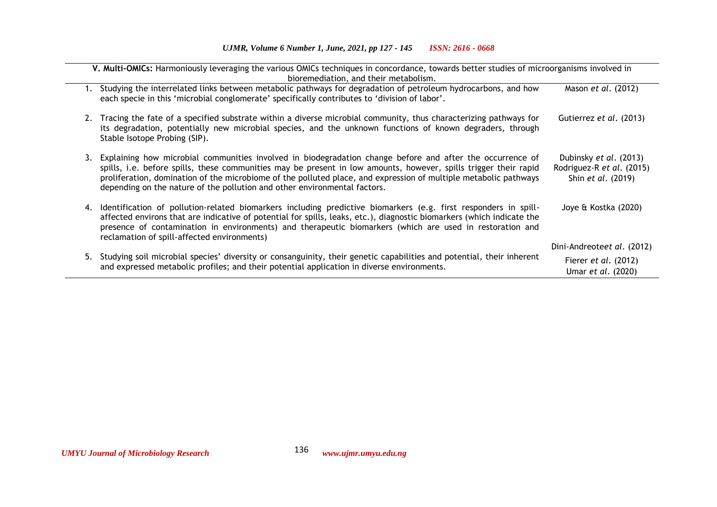| V. Multi-OMICs: Harmoniously leveraging the various OMICs techniques in concordance, towards better studies of microorganisms involved in<br>bioremediation, and their metabolism. |                                                                                                                                                                                                                                                                                                                                                                                                                                   |                                                                                  |  |  |
|------------------------------------------------------------------------------------------------------------------------------------------------------------------------------------|-----------------------------------------------------------------------------------------------------------------------------------------------------------------------------------------------------------------------------------------------------------------------------------------------------------------------------------------------------------------------------------------------------------------------------------|----------------------------------------------------------------------------------|--|--|
|                                                                                                                                                                                    | Studying the interrelated links between metabolic pathways for degradation of petroleum hydrocarbons, and how<br>each specie in this 'microbial conglomerate' specifically contributes to 'division of labor'.                                                                                                                                                                                                                    | Mason et al. (2012)                                                              |  |  |
|                                                                                                                                                                                    | 2. Tracing the fate of a specified substrate within a diverse microbial community, thus characterizing pathways for<br>its degradation, potentially new microbial species, and the unknown functions of known degraders, through<br>Stable Isotope Probing (SIP).                                                                                                                                                                 | Gutierrez et al. (2013)                                                          |  |  |
|                                                                                                                                                                                    | 3. Explaining how microbial communities involved in biodegradation change before and after the occurrence of<br>spills, i.e. before spills, these communities may be present in low amounts, however, spills trigger their rapid<br>proliferation, domination of the microbiome of the polluted place, and expression of multiple metabolic pathways<br>depending on the nature of the pollution and other environmental factors. | Dubinsky et al. (2013)<br>Rodriguez-R et al. (2015)<br>Shin <i>et al.</i> (2019) |  |  |
|                                                                                                                                                                                    | 4. Identification of pollution-related biomarkers including predictive biomarkers (e.g. first responders in spill-<br>affected environs that are indicative of potential for spills, leaks, etc.), diagnostic biomarkers (which indicate the<br>presence of contamination in environments) and therapeutic biomarkers (which are used in restoration and<br>reclamation of spill-affected environments)                           | Joye & Kostka (2020)                                                             |  |  |
|                                                                                                                                                                                    |                                                                                                                                                                                                                                                                                                                                                                                                                                   | Dini-Andreoteet al. (2012)                                                       |  |  |
|                                                                                                                                                                                    | 5. Studying soil microbial species' diversity or consanguinity, their genetic capabilities and potential, their inherent<br>and expressed metabolic profiles; and their potential application in diverse environments.                                                                                                                                                                                                            | Fierer <i>et al.</i> (2012)<br>Umar <i>et al.</i> (2020)                         |  |  |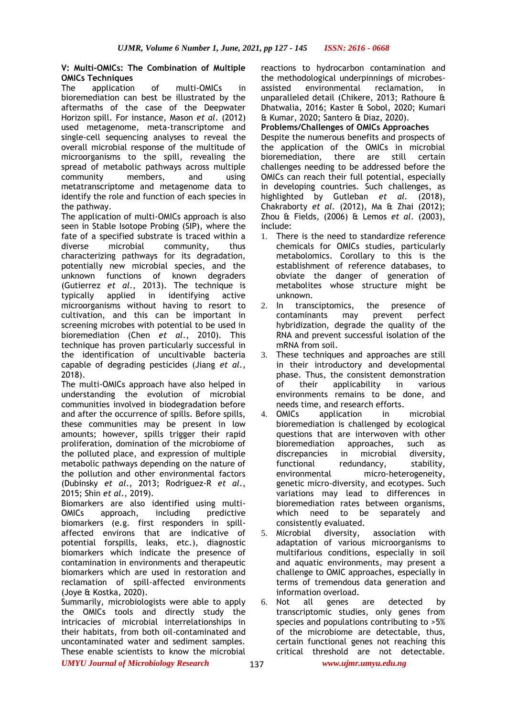## **V: Multi-OMICs: The Combination of Multiple OMICs Techniques**

The application of multi-OMICs in bioremediation can best be illustrated by the aftermaths of the case of the Deepwater Horizon spill. For instance, Mason *et al*. (2012) used metagenome, meta-transcriptome and single-cell sequencing analyses to reveal the overall microbial response of the multitude of microorganisms to the spill, revealing the spread of metabolic pathways across multiple community members, and using metatranscriptome and metagenome data to identify the role and function of each species in the pathway.

The application of multi-OMICs approach is also seen in Stable Isotope Probing (SIP), where the fate of a specified substrate is traced within a diverse microbial community, thus characterizing pathways for its degradation, potentially new microbial species, and the unknown functions of known degraders (Gutierrez *et al*., 2013). The technique is typically applied in identifying active microorganisms without having to resort to cultivation, and this can be important in screening microbes with potential to be used in bioremediation (Chen *et al*., 2010). This technique has proven particularly successful in the identification of uncultivable bacteria capable of degrading pesticides (Jiang *et al*., 2018).

The multi-OMICs approach have also helped in understanding the evolution of microbial communities involved in biodegradation before and after the occurrence of spills. Before spills, these communities may be present in low amounts; however, spills trigger their rapid proliferation, domination of the microbiome of the polluted place, and expression of multiple metabolic pathways depending on the nature of the pollution and other environmental factors (Dubinsky *et al*., 2013; Rodriguez-R *et al*., 2015; Shin *et al*., 2019).

Biomarkers are also identified using multi-OMICs approach, including predictive biomarkers (e.g. first responders in spillaffected environs that are indicative of potential forspills, leaks, etc.), diagnostic biomarkers which indicate the presence of contamination in environments and therapeutic biomarkers which are used in restoration and reclamation of spill-affected environments (Joye & Kostka, 2020).

Summarily, microbiologists were able to apply the OMICs tools and directly study the intricacies of microbial interrelationships in their habitats, from both oil-contaminated and uncontaminated water and sediment samples. These enable scientists to know the microbial

reactions to hydrocarbon contamination and the methodological underpinnings of microbesassisted environmental reclamation, in unparalleled detail (Chikere, 2013; Rathoure & Dhatwalia, 2016; Kaster & Sobol, 2020; Kumari & Kumar, 2020; Santero & Diaz, 2020).

#### **Problems/Challenges of OMICs Approaches**

Despite the numerous benefits and prospects of the application of the OMICs in microbial bioremediation, there are still certain challenges needing to be addressed before the OMICs can reach their full potential, especially in developing countries. Such challenges, as highlighted by Gutleban *et al.* (2018), Chakraborty *et al.* (2012), Ma & Zhai (2012); Zhou & Fields, (2006) & Lemos *et al*. (2003), include:

- 1. There is the need to standardize reference chemicals for OMICs studies, particularly metabolomics. Corollary to this is the establishment of reference databases, to obviate the danger of generation of metabolites whose structure might be unknown.
- 2. In transciptomics, the presence of contaminants may prevent perfect hybridization, degrade the quality of the RNA and prevent successful isolation of the mRNA from soil.
- 3. These techniques and approaches are still in their introductory and developmental phase. Thus, the consistent demonstration of their applicability in various environments remains to be done, and needs time, and research efforts.
- 4. OMICs application in microbial bioremediation is challenged by ecological questions that are interwoven with other bioremediation approaches, such as discrepancies in microbial diversity, functional redundancy, stability, environmental micro-heterogeneity, genetic micro-diversity, and ecotypes. Such variations may lead to differences in bioremediation rates between organisms, which need to be separately and consistently evaluated.
- 5. Microbial diversity, association with adaptation of various microorganisms to multifarious conditions, especially in soil and aquatic environments, may present a challenge to OMIC approaches, especially in terms of tremendous data generation and information overload.
- 6. Not all genes are detected by transcriptomic studies, only genes from species and populations contributing to >5% of the microbiome are detectable, thus, certain functional genes not reaching this critical threshold are not detectable.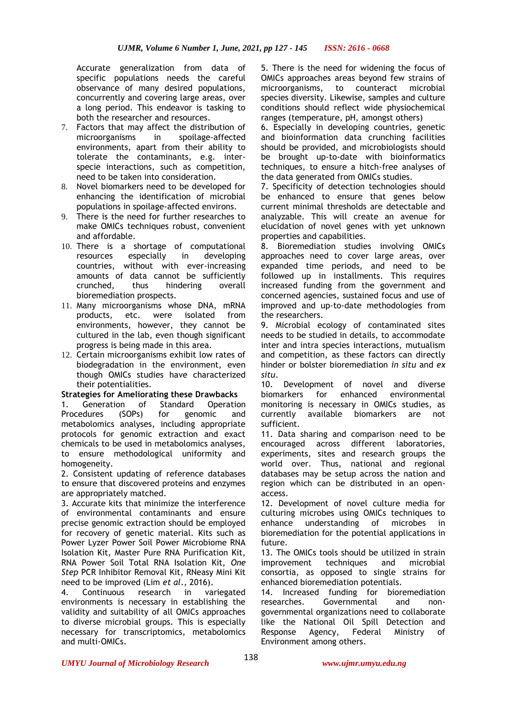Accurate generalization from data of specific populations needs the careful observance of many desired populations, concurrently and covering large areas, over a long period. This endeavor is tasking to both the researcher and resources.

- 7. Factors that may affect the distribution of microorganisms in spoilage-affected environments, apart from their ability to tolerate the contaminants, e.g. interspecie interactions, such as competition, need to be taken into consideration.
- 8. Novel biomarkers need to be developed for enhancing the identification of microbial populations in spoilage-affected environs.
- 9. There is the need for further researches to make OMICs techniques robust, convenient and affordable.
- 10. There is a shortage of computational resources especially in developing countries, without with ever-increasing amounts of data cannot be sufficiently crunched, thus hindering overall bioremediation prospects.
- 11. Many microorganisms whose DNA, mRNA products, etc. were isolated from environments, however, they cannot be cultured in the lab, even though significant progress is being made in this area.
- 12. Certain microorganisms exhibit low rates of biodegradation in the environment, even though OMICs studies have characterized their potentialities.

## **Strategies for Ameliorating these Drawbacks**

1. Generation of Standard Operation Procedures (SOPs) for genomic and metabolomics analyses, including appropriate protocols for genomic extraction and exact chemicals to be used in metabolomics analyses, to ensure methodological uniformity and homogeneity.

2. Consistent updating of reference databases to ensure that discovered proteins and enzymes are appropriately matched.

3. Accurate kits that minimize the interference of environmental contaminants and ensure precise genomic extraction should be employed for recovery of genetic material. Kits such as Power Lyzer Power Soil Power Microbiome RNA Isolation Kit, Master Pure RNA Purification Kit, RNA Power Soil Total RNA Isolation Kit, *One Step* PCR Inhibitor Removal Kit, RNeasy Mini Kit need to be improved (Lim *et al*., 2016).

4. Continuous research in variegated environments is necessary in establishing the validity and suitability of all OMICs approaches to diverse microbial groups. This is especially necessary for transcriptomics, metabolomics and multi-OMICs.

5. There is the need for widening the focus of OMICs approaches areas beyond few strains of microorganisms, to counteract microbial species diversity. Likewise, samples and culture conditions should reflect wide physiochemical ranges (temperature, pH, amongst others)

6. Especially in developing countries, genetic and bioinformation data crunching facilities should be provided, and microbiologists should be brought up-to-date with bioinformatics techniques, to ensure a hitch-free analyses of the data generated from OMICs studies.

7. Specificity of detection technologies should be enhanced to ensure that genes below current minimal thresholds are detectable and analyzable. This will create an avenue for elucidation of novel genes with yet unknown properties and capabilities.

8. Bioremediation studies involving OMICs approaches need to cover large areas, over expanded time periods, and need to be followed up in installments. This requires increased funding from the government and concerned agencies, sustained focus and use of improved and up-to-date methodologies from the researchers.

9. Microbial ecology of contaminated sites needs to be studied in details, to accommodate inter and intra species interactions, mutualism and competition, as these factors can directly hinder or bolster bioremediation *in situ* and *ex situ*.

10. Development of novel and diverse biomarkers for enhanced environmental monitoring is necessary in OMICs studies, as currently available biomarkers are not sufficient.

11. Data sharing and comparison need to be encouraged across different laboratories, experiments, sites and research groups the world over. Thus, national and regional databases may be setup across the nation and region which can be distributed in an openaccess.

12. Development of novel culture media for culturing microbes using OMICs techniques to enhance understanding of microbes in bioremediation for the potential applications in future.

13. The OMICs tools should be utilized in strain improvement techniques and microbial consortia, as opposed to single strains for enhanced bioremediation potentials.

14. Increased funding for bioremediation researches. Governmental and nongovernmental organizations need to collaborate like the National Oil Spill Detection and Response Agency, Federal Ministry of Environment among others.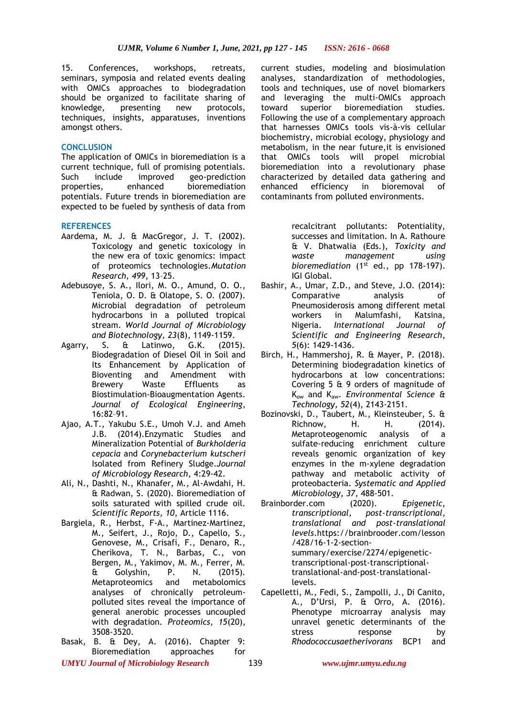15. Conferences, workshops, retreats, seminars, symposia and related events dealing with OMICs approaches to biodegradation should be organized to facilitate sharing of knowledge, presenting new protocols, techniques, insights, apparatuses, inventions amongst others.

#### **CONCLUSION**

The application of OMICs in bioremediation is a current technique, full of promising potentials. Such include improved geo-prediction properties, enhanced bioremediation potentials. Future trends in bioremediation are expected to be fueled by synthesis of data from

#### **REFERENCES**

- Aardema, M. J. & MacGregor, J. T. (2002). Toxicology and genetic toxicology in the new era of toxic genomics: impact of proteomics technologies.*Mutation Research, 499*, 13–25.
- Adebusoye, S. A., Ilori, M. O., Amund, O. O., Teniola, O. D. & Olatope, S. O. (2007). Microbial degradation of petroleum hydrocarbons in a polluted tropical stream. *World Journal of Microbiology and Biotechnology, 23*(8), 1149-1159.
- Agarry, S. & Latinwo, G.K. (2015). Biodegradation of Diesel Oil in Soil and Its Enhancement by Application of Bioventing and Amendment with Brewery Waste Effluents as Biostimulation-Bioaugmentation Agents. *Journal of Ecological Engineering*, 16:82–91.
- Ajao, A.T., Yakubu S.E., Umoh V.J. and Ameh J.B. (2014).Enzymatic Studies and Mineralization Potential of *Burkholderia cepacia* and *Corynebacterium kutscheri*  Isolated from Refinery Sludge.*Journal of Microbiology Research*, 4:29-42.
- Ali, N., Dashti, N., Khanafer, M., Al-Awdahi, H. & Radwan, S. (2020). Bioremediation of soils saturated with spilled crude oil. *Scientific Reports, 10*, Article 1116.
- Bargiela, R., Herbst, F-A., Martinez-Martinez, M., Seifert, J., Rojo, D., Capello, S., Genovese, M., Crisafi, F., Denaro, R., Cherikova, T. N., Barbas, C., von Bergen, M., Yakimov, M. M., Ferrer, M.<br>& Golvshin. P. N. (2015). & Golyshin, P. N. (2015). Metaproteomics and metabolomics analyses of chronically petroleumpolluted sites reveal the importance of general anerobic processes uncoupled with degradation. *Proteomics, 15*(20), 3508-3520.
- Basak, B. & Dey, A. (2016). Chapter 9: Bioremediation approaches for

current studies, modeling and biosimulation analyses, standardization of methodologies, tools and techniques, use of novel biomarkers and leveraging the multi-OMICs approach toward superior bioremediation studies. Following the use of a complementary approach that harnesses OMICs tools vis-à-vis cellular biochemistry, microbial ecology, physiology and metabolism, in the near future,it is envisioned that OMICs tools will propel microbial bioremediation into a revolutionary phase characterized by detailed data gathering and enhanced efficiency in bioremoval of contaminants from polluted environments.

> recalcitrant pollutants: Potentiality, successes and limitation. In A. Rathoure & V. Dhatwalia (Eds.), *Toxicity and waste management using bioremediation* (1<sup>st</sup> ed., pp 178-197). IGI Global.

- Bashir, A., Umar, Z.D., and Steve, J.O. (2014): Comparative analysis of Pneumosiderosis among different metal workers in Malumfashi, Katsina, Nigeria. *International Journal of Scientific and Engineering Research*, *5*(6): 1429-1436.
- Birch, H., Hammershoj, R. & Mayer, P. (2018). Determining biodegradation kinetics of hydrocarbons at low concentrations: Covering 5 & 9 orders of magnitude of Kow and Kaw. *Environmental Science & Technology, 52*(4), 2143-2151.
- Bozinovski, D., Taubert, M., Kleinsteuber, S. & Richnow, H. H. (2014). Metaproteogenomic analysis of a sulfate-reducing enrichment culture reveals genomic organization of key enzymes in the m-xylene degradation pathway and metabolic activity of proteobacteria. *Systematic and Applied Microbiology, 37*, 488-501.
- Brainborder.com (2020). *Epigenetic, transcriptional, post-transcriptional, translational and post-translational levels*.https://brainbrooder.com/lesson /428/16-1-2-sectionsummary/exercise/2274/epigenetictranscriptional-post-transcriptionaltranslational-and-post-translationallevels.
- Capelletti, M., Fedi, S., Zampolli, J., Di Canito, A., D'Ursi, P. & Orro, A. (2016). Phenotype microarray analysis may unravel genetic determinants of the stress response by *Rhodococcusaetherivorans* BCP1 and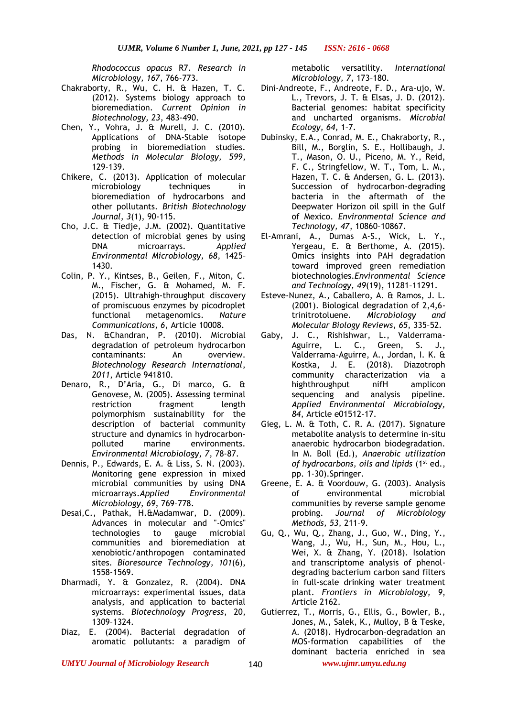*Rhodococcus opacus* R7. *Research in Microbiology, 167*, 766-773.

- Chakraborty, R., Wu, C. H. & Hazen, T. C. (2012). Systems biology approach to bioremediation. *Current Opinion in Biotechnology, 23*, 483-490.
- Chen, Y., Vohra, J. & Murell, J. C. (2010). Applications of DNA-Stable isotope probing in bioremediation studies. *Methods in Molecular Biology, 599*, 129-139.
- Chikere, C. (2013). Application of molecular microbiology techniques in bioremediation of hydrocarbons and other pollutants. *British Biotechnology Journal, 3*(1), 90-115.
- Cho, J.C. & Tiedje, J.M. (2002). Quantitative detection of microbial genes by using DNA microarrays. *Applied Environmental Microbiology, 68*, 1425– 1430.
- Colin, P. Y., Kintses, B., Geilen, F., Miton, C. M., Fischer, G. & Mohamed, M. F. (2015). Ultrahigh-throughput discovery of promiscuous enzymes by picodroplet functional metagenomics. *Nature Communications, 6*, Article 10008.
- Das, N. &Chandran, P. (2010). Microbial degradation of petroleum hydrocarbon contaminants: An overview. *Biotechnology Research International*, *2011*, Article 941810.
- Denaro, R., D'Aria, G., Di marco, G. & Genovese, M. (2005). Assessing terminal restriction fragment length polymorphism sustainability for the description of bacterial community structure and dynamics in hydrocarbonpolluted marine environments. *Environmental Microbiology, 7*, 78-87.
- Dennis, P., Edwards, E. A. & Liss, S. N. (2003). Monitoring gene expression in mixed microbial communities by using DNA microarrays.*Applied Environmental Microbiology, 69*, 769–778.
- [Desai,](https://pubmed.ncbi.nlm.nih.gov/?term=Desai+C&cauthor_id=19962886)C., [Pathak,](https://pubmed.ncbi.nlm.nih.gov/?term=Pathak+H&cauthor_id=19962886) H.[&Madamwar,](https://pubmed.ncbi.nlm.nih.gov/?term=Madamwar+D&cauthor_id=19962886) D. (2009). Advances in molecular and "-Omics" technologies to gauge microbial communities and bioremediation at xenobiotic/anthropogen contaminated sites. *Bioresource Technology, 101*(6), 1558-1569.
- Dharmadi, Y. & Gonzalez, R. (2004). DNA microarrays: experimental issues, data analysis, and application to bacterial systems. *Biotechnology Progress*, 20, 1309–1324.
- Diaz, E. (2004). Bacterial degradation of aromatic pollutants: a paradigm of

metabolic versatility. *International Microbiology, 7*, 173–180.

- Dini-Andreote, F., Andreote, F. D., Ara-ujo, W. L., Trevors, J. T. & Elsas, J. D. (2012). Bacterial genomes: habitat specificity and uncharted organisms. *Microbial Ecology, 64,* 1–7.
- Dubinsky, E.A., Conrad, M. E., Chakraborty, R., Bill, M., Borglin, S. E., Hollibaugh, J. T., Mason, O. U., Piceno, M. Y., Reid, F. C., Stringfellow, W. T., Tom, L. M., Hazen, T. C. & Andersen, G. L. (2013). Succession of hydrocarbon-degrading bacteria in the aftermath of the Deepwater Horizon oil spill in the Gulf of Mexico. *Environmental Science and Technology, 47*, 10860–10867.
- El-Amrani, A., Dumas A-S., Wick, L. Y., Yergeau, E. & Berthome, A. (2015). Omics insights into PAH degradation toward improved green remediation biotechnologies.*Environmental Science and Technology, 49*(19), 11281–11291.
- Esteve-Nunez, A., Caballero, A. & Ramos, J. L. (2001). Biological degradation of 2,4,6 trinitrotoluene. *Microbiology and Molecular Biology Reviews, 65*, 335–52.
- Gaby, J. C., Rishishwar, L., Valderrama-Aguirre, L. C., Green, S. J., Valderrama-Aguirre, A., Jordan, I. K. & Kostka, J. E. (2018). Diazotroph community characterization via a highthroughput nifH amplicon sequencing and analysis pipeline. *Applied Environmental Microbiology, 84*, Article e01512-17.
- Gieg, L. M. & Toth, C. R. A. (2017). Signature metabolite analysis to determine in-situ anaerobic hydrocarbon biodegradation. In M. Boll (Ed.), *Anaerobic utilization of hydrocarbons, oils and lipids* (1st ed., pp. 1-30).Springer.
- Greene, E. A. & Voordouw, G. (2003). Analysis of environmental microbial communities by reverse sample genome probing. *Journal of Microbiology Methods, 53*, 211–9.
- Gu, Q., Wu, Q., Zhang, J., Guo, W., Ding, Y., Wang, J., Wu, H., Sun, M., Hou, L., Wei, X. & Zhang, Y. (2018). Isolation and transcriptome analysis of phenoldegrading bacterium carbon sand filters in full-scale drinking water treatment plant. *Frontiers in Microbiology, 9*, Article 2162.
- Gutierrez, T., Morris, G., Ellis, G., Bowler, B., Jones, M., Salek, K., Mulloy, B & Teske, A. (2018). Hydrocarbon–degradation an MOS-formation capabilities of the dominant bacteria enriched in sea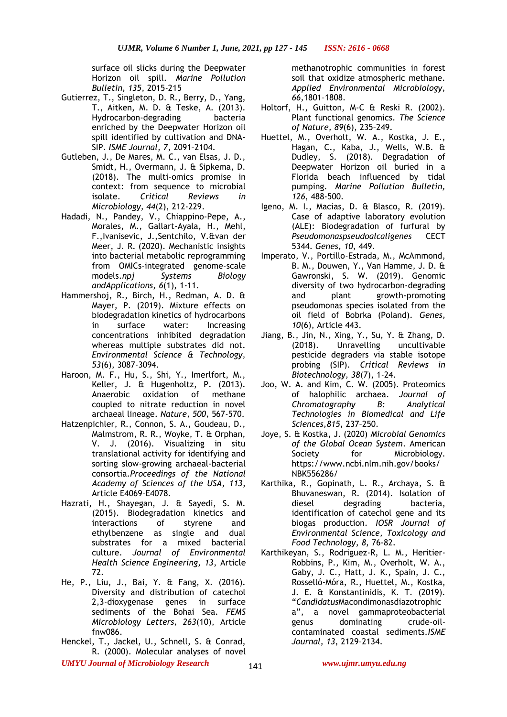surface oil slicks during the Deepwater Horizon oil spill. *Marine Pollution Bulletin, 135*, 2015-215

- Gutierrez, T., Singleton, D. R., Berry, D., Yang, T., Aitken, M. D. & Teske, A. (2013). Hydrocarbon-degrading bacteria enriched by the Deepwater Horizon oil spill identified by cultivation and DNA-SIP. *ISME Journal, 7*, 2091–2104.
- Gutleben, J., De Mares, M. C., van Elsas, J. D., Smidt, H., Overmann, J. & Sipkema, D. (2018). The multi-omics promise in context: from sequence to microbial isolate. *Critical Reviews in Microbiology, 44*(2), 212-229.
- Hadadi, N., Pandey, V., [Chiappino-Pepe,](javascript:;) A., [Morales,](javascript:;) M., [Gallart-Ayala,](javascript:;) H., [Mehl,](javascript:;) F.[,Ivanisevic,](javascript:;) J.[,Sentchilo,](javascript:;) V.[&van der](javascript:;)  [Meer,](javascript:;) J. R. (2020). Mechanistic insights into bacterial metabolic reprogramming from OMICs-integrated genome-scale models.*[npj Systems Biology](https://www.nature.com/npjsba)  [andAppli](https://www.nature.com/npjsba)cations, 6*(1), 1-11.
- Hammershoj, R., Birch, H., Redman, A. D. & Mayer, P. (2019). Mixture effects on biodegradation kinetics of hydrocarbons in surface water: Increasing concentrations inhibited degradation whereas multiple substrates did not. *Environmental Science & Technology, 53*(6), 3087-3094.
- Haroon, M. F., Hu, S., Shi, Y., Imerlfort, M., Keller, J. & Hugenholtz, P. (2013). Anaerobic oxidation of methane coupled to nitrate reduction in novel archaeal lineage. *Nature, 500,* 567-570.
- Hatzenpichler, R., Connon, S. A., Goudeau, D., Malmstrom, R. R., Woyke, T. & Orphan, V. J. (2016). Visualizing in situ translational activity for identifying and sorting slow-growing archaeal-bacterial consortia.*Proceedings of the National Academy of Sciences of the USA, 113*, Article E4069–E4078.
- Hazrati, H., Shayegan, J. & Sayedi, S. M. (2015). Biodegradation kinetics and interactions of styrene and ethylbenzene as single and dual substrates for a mixed bacterial culture. *Journal of Environmental Health Science Engineering, 13*, Article 72.
- He, P., Liu, J., Bai, Y. & Fang, X. (2016). Diversity and distribution of catechol 2,3-dioxygenase genes in surface sediments of the Bohai Sea. *FEMS Microbiology Letters, 263*(10), Article fnw086.
- Henckel, T., Jackel, U., Schnell, S. & Conrad, R. (2000). Molecular analyses of novel

methanotrophic communities in forest soil that oxidize atmospheric methane. *Applied Environmental Microbiology, 66,*1801–1808.

- Holtorf, H., Guitton, M-C & Reski R. (2002). Plant functional genomics. *The Science of Nature, 89*(6), 235–249.
- Huettel, M., Overholt, W. A., Kostka, J. E., Hagan, C., Kaba, J., Wells, W.B. & Dudley, S. (2018). Degradation of Deepwater Horizon oil buried in a Florida beach influenced by tidal pumping. *Marine Pollution Bulletin, 126*, 488-500.
- Igeno, M. I., Macias, D. & Blasco, R. (2019). Case of adaptive laboratory evolution (ALE): Biodegradation of furfural by *Pseudomonaspseudoalcaligenes* CECT 5344. *Genes, 10*, 449.
- Imperato, V., Portillo-Estrada, M., McAmmond, B. M., Douwen, Y., Van Hamme, J. D. & Gawronski, S. W. (2019). Genomic diversity of two hydrocarbon-degrading and plant growth-promoting pseudomonas species isolated from the oil field of Bobrka (Poland). *Genes, 10*(6), Article 443.
- Jiang, B., Jin, N., Xing, Y., Su, Y. & Zhang, D. (2018). Unravelling uncultivable pesticide degraders via stable isotope probing (SIP). *Critical Reviews in Biotechnology, 38*(7), 1-24.
- Joo, W. A. and Kim, C. W. (2005). Proteomics of halophilic archaea. *Journal of Chromatography B: Analytical Technologies in Biomedical and Life Sciences,815*, 237–250.
- Joye, S. & Kostka, J. (2020) *Microbial Genomics of the Global Ocean System*. American Society for Microbiology. https://www.ncbi.nlm.nih.gov/books/ NBK556286/
- Karthika, R., Gopinath, L. R., Archaya, S. & Bhuvaneswan, R. (2014). Isolation of diesel degrading bacteria, identification of catechol gene and its biogas production. *IOSR Journal of Environmental Science, Toxicology and Food Technology*, *8*, 76-82.
- Karthikeyan, S., Rodriguez-R, L. M., Heritier-Robbins, P., Kim, M., Overholt, W. A., Gaby, J. C., Hatt, J. K., Spain, J. C., Rosselló-Móra, R., Huettel, M., Kostka, J. E. & Konstantinidis, K. T. (2019). "*Candidatus*Macondimonasdiazotrophic a", a novel gammaproteobacterial genus dominating crude-oilcontaminated coastal sediments.*ISME Journal, 13*, 2129–2134.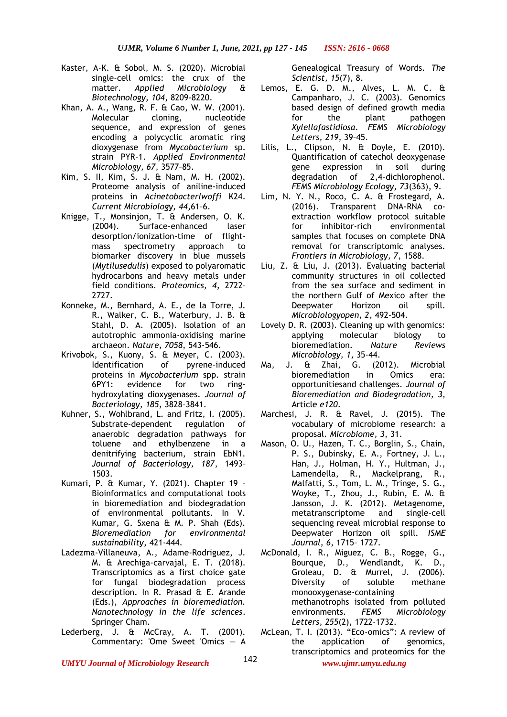- Kaster, A-K. & Sobol, M. S. (2020). Microbial single-cell omics: the crux of the matter. *Applied Microbiology & Biotechnology, 104*, 8209-8220.
- Khan, A. A., Wang, R. F. & Cao, W. W. (2001). Molecular cloning, nucleotide sequence, and expression of genes encoding a polycyclic aromatic ring dioxygenase from *Mycobacterium* sp. strain PYR-1. *Applied Environmental Microbiology, 67*, 3577–85.
- Kim, S. II, Kim, S. J. & Nam, M. H. (2002). Proteome analysis of aniline-induced proteins in *Acinetobacterlwoffi* K24. *Current Microbiology, 44,*61–6.
- Knigge, T., Monsinjon, T. & Andersen, O. K. (2004). Surface-enhanced laser desorption/ionization-time of flightmass spectrometry approach to biomarker discovery in blue mussels (*Mytilusedulis*) exposed to polyaromatic hydrocarbons and heavy metals under field conditions. *Proteomics, 4*, 2722– 2727.
- Konneke, M., Bernhard, A. E., de la Torre, J. R., Walker, C. B., Waterbury, J. B. & Stahl, D. A. (2005). Isolation of an autotrophic ammonia-oxidising marine archaeon. *Nature, 7058*, 543-546.
- Krivobok, S., Kuony, S. & Meyer, C. (2003). Identification of pyrene-induced proteins in *Mycobacterium* spp. strain 6PY1: evidence for two ringhydroxylating dioxygenases. *Journal of Bacteriology, 185*, 3828–3841.
- Kuhner, S., Wohlbrand, L. and Fritz, I. (2005). Substrate-dependent regulation of anaerobic degradation pathways for toluene and ethylbenzene in a denitrifying bacterium, strain EbN1. *Journal of Bacteriology, 187*, 1493– 1503.
- Kumari, P. & Kumar, Y. (2021). Chapter 19 Bioinformatics and computational tools in bioremediation and biodegradation of environmental pollutants. In V. Kumar, G. Sxena & M. P. Shah (Eds). *Bioremediation for environmental sustainability*, 421-444.
- Ladezma-Villaneuva, A., Adame-Rodriguez, J. M. & Arechiga-carvajal, E. T. (2018). Transcriptomics as a first choice gate for fungal biodegradation process description. In R. Prasad & E. Arande (Eds.), *Approaches in bioremediation. Nanotechnology in the life sciences*. Springer Cham.
- Lederberg, J. & McCray, A. T. (2001). Commentary: 'Ome Sweet 'Omics — A

Genealogical Treasury of Words. *The Scientist, 15*(7), 8.

- Lemos, E. G. D. M., Alves, L. M. C. & Campanharo, J. C. (2003). Genomics based design of defined growth media for the plant pathogen *Xylellafastidiosa*. *FEMS Microbiology Letters, 219*, 39–45.
- Lilis, L., Clipson, N. & Doyle, E. (2010). Quantification of catechol deoxygenase gene expression in soil during degradation of 2,4-dichlorophenol. *FEMS Microbiology Ecology, 73*(363), 9.
- Lim, N. Y. N., Roco, C. A. & Frostegard, A. (2016). Transparent DNA-RNA coextraction workflow protocol suitable for inhibitor-rich environmental samples that focuses on complete DNA removal for transcriptomic analyses. *Frontiers in Microbiology, 7*, 1588.
- Liu, Z. & Liu, J. (2013). Evaluating bacterial community structures in oil collected from the sea surface and sediment in the northern Gulf of Mexico after the Deepwater Horizon oil spill. *Microbiologyopen, 2*, 492-504.
- Lovely D. R. (2003). Cleaning up with genomics: applying molecular biology to bioremediation. *Nature Reviews Microbiology, 1*, 35-44.
- Ma, J. & Zhai, G. (2012). Microbial bioremediation in Omics era: opportunitiesand challenges. *Journal of Bioremediation and Biodegradation, 3,*  Article *e120*.
- Marchesi, J. R. & Ravel, J. (2015). The vocabulary of microbiome research: a proposal. *Microbiome, 3*, 31.
- Mason, O. U., Hazen, T. C., Borglin, S., Chain, P. S., Dubinsky, E. A., Fortney, J. L., Han, J., Holman, H. Y., Hultman, J., Lamendella, R., Mackelprang, R., Malfatti, S., Tom, L. M., Tringe, S. G., Woyke, T., Zhou, J., Rubin, E. M. & Jansson, J. K. (2012). Metagenome, metatranscriptome and single-cell sequencing reveal microbial response to Deepwater Horizon oil spill. *ISME Journal, 6*, 1715– 1727.
- McDonald, I. R., Miguez, C. B., Rogge, G., Bourque, D., Wendlandt, K. D., Groleau, D. & Murrel, J. (2006). Diversity of soluble methane monooxygenase-containing methanotrophs isolated from polluted environments. *FEMS Microbiology Letters, 255*(2), 1722-1732.
- McLean, T. I. (2013). "Eco-omics": A review of the application of genomics, transcriptomics and proteomics for the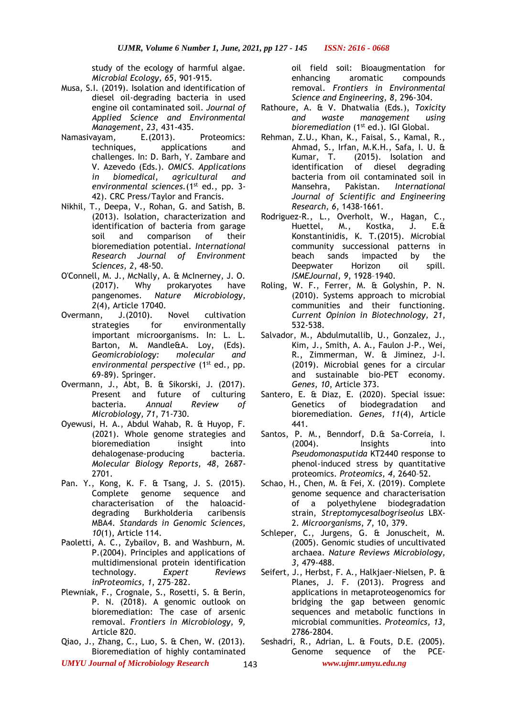study of the ecology of harmful algae. *Microbial Ecology, 65*, 901-915.

- Musa, S.I. (2019). Isolation and identification of diesel oil-degrading bacteria in used engine oil contaminated soil. *Journal of Applied Science and Environmental Management*, *23*, 431-435.
- Namasivayam, E.(2013). Proteomics: techniques, applications and challenges. In: D. Barh, Y. Zambare and V. Azevedo (Eds.). *OMICS. Applications in biomedical, agricultural and environmental sciences.*(1<sup>st</sup> ed., pp. 3-42). CRC Press/Taylor and Francis.
- Nikhil, T., Deepa, V., Rohan, G. and Satish, B. (2013). Isolation, characterization and identification of bacteria from garage soil and comparison of their bioremediation potential. *International Research Journal of Environment Sciences, 2*, 48-50.
- O'Connell, M. J., McNally, A. & McInerney, J. O. (2017). Why prokaryotes have pangenomes. *Nature Microbiology, 2*(4), Article 17040.
- Overmann, J.(2010). Novel cultivation strategies for environmentally important microorganisms. In: L. L. Barton, M. Mandle&A. Loy, (Eds). *Geomicrobiology: molecular and environmental perspective* (1<sup>st</sup> ed., pp. 69-89). Springer.
- Overmann, J., Abt, B. & Sikorski, J. (2017). Present and future of culturing bacteria. *Annual Review of Microbiology, 71*, 71-730.
- Oyewusi, H. A., Abdul Wahab, R. & Huyop, F. (2021). Whole genome strategies and bioremediation insight into dehalogenase-producing bacteria. *Molecular Biology Reports, 48*, 2687- 2701.
- Pan. Y., Kong, K. F. & Tsang, J. S. (2015). Complete genome sequence and characterisation of the haloaciddegrading Burkholderia caribensis MBA4. *Standards in Genomic Sciences, 10*(1), Article 114.
- Paoletti, A. C., Zybailov, B. and Washburn, M. P.(2004). Principles and applications of multidimensional protein identification technology. *Expert Reviews inProteomics, 1*, 275–282.
- Plewniak, F., Crognale, S., Rosetti, S. & Berin, P. N. (2018). A genomic outlook on bioremediation: The case of arsenic removal. *Frontiers in Microbiology, 9,* Article 820.
- Qiao, J., Zhang, C., Luo, S. & Chen, W. (2013). Bioremediation of highly contaminated

oil field soil: Bioaugmentation for enhancing aromatic compounds removal. *Frontiers in Environmental Science and Engineering, 8*, 296-304.

- Rathoure, A. & V. Dhatwalia (Eds.), *Toxicity and waste management using bioremediation* (1<sup>st</sup> ed.). IGI Global.
- Rehman, Z.U., Khan, K., Faisal, S., Kamal, R., Ahmad, S., Irfan, M.K.H., Safa, I. U. & Kumar, T. (2015). Isolation and identification of diesel degrading bacteria from oil contaminated soil in Mansehra, Pakistan. *International Journal of Scientific and Engineering Research, 6*, 1438-1661.
- Rodriguez-R., L., Overholt, W., Hagan, C., Huettel, M., Kostka, J. E.& Konstantinidis, K. T.(2015). Microbial community successional patterns in beach sands impacted by the Deepwater Horizon oil spill. *ISMEJournal, 9*, 1928–1940.
- Roling, W. F., Ferrer, M. & Golyshin, P. N. (2010). Systems approach to microbial communities and their functioning. *Current Opinion in Biotechnology, 21*, 532-538.
- Salvador, M., Abdulmutallib, U., Gonzalez, J., Kim, J., Smith, A. A., Faulon J-P., Wei, R., Zimmerman, W. & Jiminez, J-I. (2019). Microbial genes for a circular and sustainable bio-PET economy. *Genes, 10*, Article 373.
- Santero, E. & Diaz, E. (2020). Special issue: Genetics of biodegradation and bioremediation. *Genes, 11*(4), Article 441.
- Santos, P. M., Benndorf, D.& Sa-Correia, I. (2004). Insights into *Pseudomonasputida* KT2440 response to phenol-induced stress by quantitative proteomics. *Proteomics, 4*, 2640–52.
- Schao, H., Chen, M. & Fei, X. (2019). Complete genome sequence and characterisation of a polyethylene biodegradation strain, *Streptomycesalbogriseolus* LBX-2. *Microorganisms*, *7*, 10, 379.
- Schleper, C., Jurgens, G. & Jonuscheit, M. (2005). Genomic studies of uncultivated archaea. *Nature Reviews Microbiology, 3*, 479-488.
- Seifert, J., Herbst, F. A., Halkjaer-Nielsen, P. & Planes, J. F. (2013). Progress and applications in metaproteogenomics for bridging the gap between genomic sequences and metabolic functions in microbial communities. *Proteomics, 13,* 2786-2804.
- *UMYU Journal of Microbiology Research www.ujmr.umyu.edu.ng* Seshadri, R., Adrian, L. & Fouts, D.E. (2005). Genome sequence of the PCE-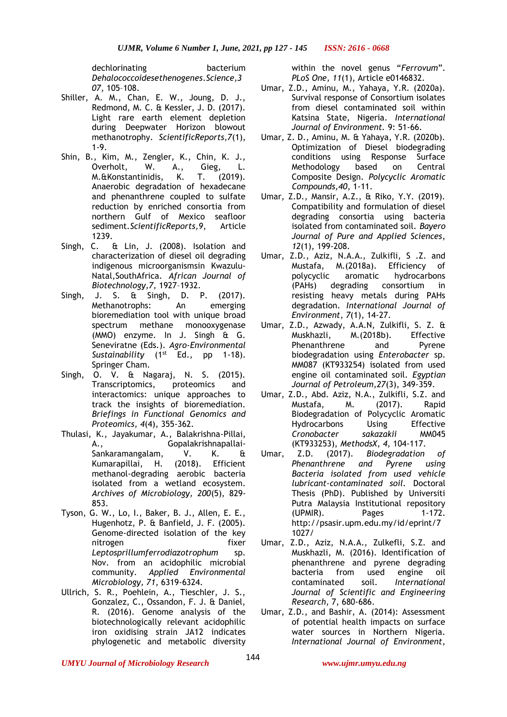dechlorinating bacterium *Dehalococcoidesethenogenes*.*Science,3 07*, 105–108.

- Shiller, A. M., Chan, E. W., Joung, D. J., Redmond, M. C. & Kessler, J. D. (2017). Light rare earth element depletion during Deepwater Horizon blowout methanotrophy. *ScientificReports,7*(1), 1-9.
- Shin, B., Kim, M., Zengler, K., Chin, K. J., Overholt, W. A., Gieg, L. M.&Konstantinidis, K. T. (2019). Anaerobic degradation of hexadecane and phenanthrene coupled to sulfate reduction by enriched consortia from northern Gulf of Mexico seafloor sediment.*ScientificReports,9*, Article 1239.
- Singh, C. & Lin, J. (2008). Isolation and characterization of diesel oil degrading indigenous microorganismsin Kwazulu-Natal,SouthAfrica. *African Journal of Biotechnology,7*, 1927–1932.
- Singh, J. S. & Singh, D. P. (2017). Methanotrophs: An emerging bioremediation tool with unique broad spectrum methane monooxygenase (MMO) enzyme. In J. Singh & G. Seneviratne (Eds.). *Agro-Environmental*  Sustainability (1<sup>st</sup> Ed., pp 1-18). Springer Cham.
- Singh, O. V. & Nagaraj, N. S. (2015). Transcriptomics, proteomics and interactomics: unique approaches to track the insights of bioremediation. *Briefings in Functional Genomics and Proteomics, 4*(4), 355-362.
- Thulasi, K., Jayakumar, A., Balakrishna-Pillai, A., Gopalakrishnapallai-Sankaramangalam, V. K. & Kumarapillai, H. (2018). Efficient methanol-degrading aerobic bacteria isolated from a wetland ecosystem. *Archives of Microbiology, 200*(5), 829- 853.
- Tyson, G. W., Lo, I., Baker, B. J., Allen, E. E., Hugenhotz, P. & Banfield, J. F. (2005). Genome-directed isolation of the key nitrogen fixer *Leptosprillumferrodiazotrophum* sp. Nov. from an acidophilic microbial community. *Applied Environmental Microbiology, 71*, 6319-6324.
- Ullrich, S. R., Poehlein, A., Tieschler, J. S., Gonzalez, C., Ossandon, F. J. & Daniel, R. (2016). Genome analysis of the biotechnologically relevant acidophilic iron oxidising strain JA12 indicates phylogenetic and metabolic diversity

within the novel genus "*Ferrovum*". *PLoS One, 11*(1), Article e0146832.

- Umar, Z.D., Aminu, M., Yahaya, Y.R. (2020a). Survival response of Consortium isolates from diesel contaminated soil within Katsina State, Nigeria. *International Journal of Environment.* 9: 51-66.
- Umar, Z. D., Aminu, M. & Yahaya, Y.R. (2020b). Optimization of Diesel biodegrading conditions using Response Surface Methodology based on Central Composite Design. *Polycyclic Aromatic Compounds,40*, 1-11.
- Umar, Z.D., Mansir, A.Z., & Riko, Y.Y. (2019). Compatibility and formulation of diesel degrading consortia using bacteria isolated from contaminated soil. *Bayero Journal of Pure and Applied Sciences*, *12*(1), 199-208.
- Umar, Z.D., Aziz, N.A.A., Zulkifli, S .Z. and Mustafa, M.(2018a). Efficiency of polycyclic aromatic hydrocarbons (PAHs) degrading consortium in resisting heavy metals during PAHs degradation. *International Journal of Environment*, *7*(1), 14-27.
- Umar, Z.D., Azwady, A.A.N, Zulkifli, S. Z. & Muskhazli, M.(2018b). Effective Phenanthrene and Pyrene biodegradation using *Enterobacter* sp. MM087 (KT933254) isolated from used engine oil contaminated soil. *Egyptian Journal of Petroleum,27*(3), 349-359.
- Umar, Z.D., Abd. Aziz, N.A., Zulkifli, S.Z. and Mustafa, M. (2017). Rapid Biodegradation of Polycyclic Aromatic Hydrocarbons Using Effective *Cronobacter sakazakii* MM045 (KT933253), *MethodsX*, *4*, 104-117.
- Umar, Z.D. (2017). *Biodegradation of Phenanthrene and Pyrene using Bacteria isolated from used vehicle lubricant-contaminated soil.* Doctoral Thesis (PhD). Published by Universiti Putra Malaysia Institutional repository (UPMIR). Pages 1-172. http://psasir.upm.edu.my/id/eprint/7 1027/
- Umar, Z.D., Aziz, N.A.A., Zulkefli, S.Z. and Muskhazli, M. (2016). Identification of phenanthrene and pyrene degrading bacteria from used engine oil contaminated soil. *International Journal of Scientific and Engineering Research*, 7, 680-686.
- Umar, Z.D., and Bashir, A. (2014): Assessment of potential health impacts on surface water sources in Northern Nigeria. *International Journal of Environment*,